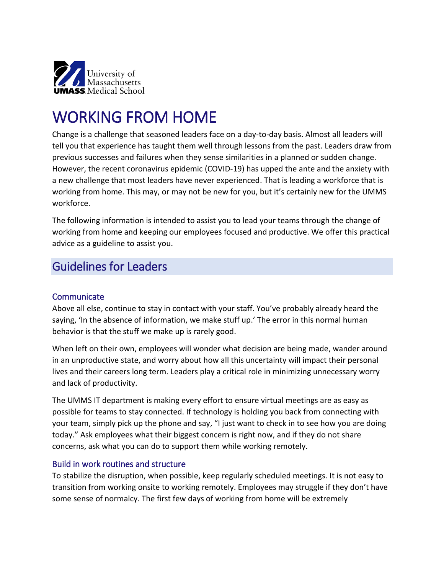

# WORKING FROM HOME

Change is a challenge that seasoned leaders face on a day-to-day basis. Almost all leaders will tell you that experience has taught them well through lessons from the past. Leaders draw from previous successes and failures when they sense similarities in a planned or sudden change. However, the recent coronavirus epidemic (COVID-19) has upped the ante and the anxiety with a new challenge that most leaders have never experienced. That is leading a workforce that is working from home. This may, or may not be new for you, but it's certainly new for the UMMS workforce.

The following information is intended to assist you to lead your teams through the change of working from home and keeping our employees focused and productive. We offer this practical advice as a guideline to assist you.

### Guidelines for Leaders

#### **Communicate**

Above all else, continue to stay in contact with your staff. You've probably already heard the saying, 'In the absence of information, we make stuff up.' The error in this normal human behavior is that the stuff we make up is rarely good.

When left on their own, employees will wonder what decision are being made, wander around in an unproductive state, and worry about how all this uncertainty will impact their personal lives and their careers long term. Leaders play a critical role in minimizing unnecessary worry and lack of productivity.

The UMMS IT department is making every effort to ensure virtual meetings are as easy as possible for teams to stay connected. If technology is holding you back from connecting with your team, simply pick up the phone and say, "I just want to check in to see how you are doing today." Ask employees what their biggest concern is right now, and if they do not share concerns, ask what you can do to support them while working remotely.

#### Build in work routines and structure

To stabilize the disruption, when possible, keep regularly scheduled meetings. It is not easy to transition from working onsite to working remotely. Employees may struggle if they don't have some sense of normalcy. The first few days of working from home will be extremely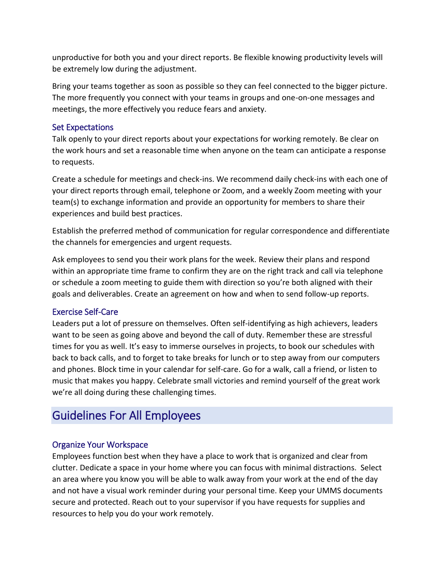unproductive for both you and your direct reports. Be flexible knowing productivity levels will be extremely low during the adjustment.

Bring your teams together as soon as possible so they can feel connected to the bigger picture. The more frequently you connect with your teams in groups and one-on-one messages and meetings, the more effectively you reduce fears and anxiety.

### Set Expectations

Talk openly to your direct reports about your expectations for working remotely. Be clear on the work hours and set a reasonable time when anyone on the team can anticipate a response to requests.

Create a schedule for meetings and check-ins. We recommend daily check-ins with each one of your direct reports through email, telephone or Zoom, and a weekly Zoom meeting with your team(s) to exchange information and provide an opportunity for members to share their experiences and build best practices.

Establish the preferred method of communication for regular correspondence and differentiate the channels for emergencies and urgent requests.

Ask employees to send you their work plans for the week. Review their plans and respond within an appropriate time frame to confirm they are on the right track and call via telephone or schedule a zoom meeting to guide them with direction so you're both aligned with their goals and deliverables. Create an agreement on how and when to send follow-up reports.

### Exercise Self-Care

Leaders put a lot of pressure on themselves. Often self-identifying as high achievers, leaders want to be seen as going above and beyond the call of duty. Remember these are stressful times for you as well. It's easy to immerse ourselves in projects, to book our schedules with back to back calls, and to forget to take breaks for lunch or to step away from our computers and phones. Block time in your calendar for self-care. Go for a walk, call a friend, or listen to music that makes you happy. Celebrate small victories and remind yourself of the great work we're all doing during these challenging times.

## Guidelines For All Employees

### Organize Your Workspace

Employees function best when they have a place to work that is organized and clear from clutter. Dedicate a space in your home where you can focus with minimal distractions. Select an area where you know you will be able to walk away from your work at the end of the day and not have a visual work reminder during your personal time. Keep your UMMS documents secure and protected. Reach out to your supervisor if you have requests for supplies and resources to help you do your work remotely.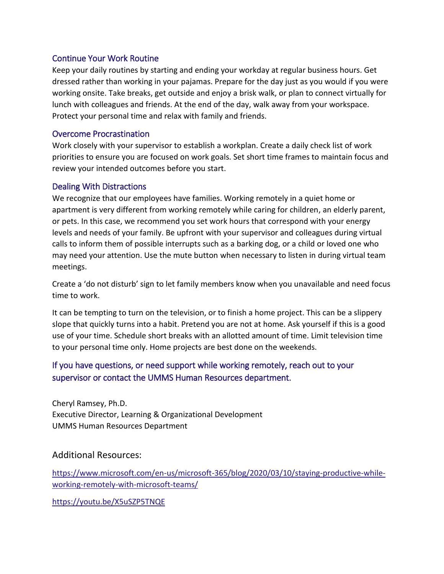### Continue Your Work Routine

Keep your daily routines by starting and ending your workday at regular business hours. Get dressed rather than working in your pajamas. Prepare for the day just as you would if you were working onsite. Take breaks, get outside and enjoy a brisk walk, or plan to connect virtually for lunch with colleagues and friends. At the end of the day, walk away from your workspace. Protect your personal time and relax with family and friends.

### Overcome Procrastination

Work closely with your supervisor to establish a workplan. Create a daily check list of work priorities to ensure you are focused on work goals. Set short time frames to maintain focus and review your intended outcomes before you start.

### Dealing With Distractions

We recognize that our employees have families. Working remotely in a quiet home or apartment is very different from working remotely while caring for children, an elderly parent, or pets. In this case, we recommend you set work hours that correspond with your energy levels and needs of your family. Be upfront with your supervisor and colleagues during virtual calls to inform them of possible interrupts such as a barking dog, or a child or loved one who may need your attention. Use the mute button when necessary to listen in during virtual team meetings.

Create a 'do not disturb' sign to let family members know when you unavailable and need focus time to work.

It can be tempting to turn on the television, or to finish a home project. This can be a slippery slope that quickly turns into a habit. Pretend you are not at home. Ask yourself if this is a good use of your time. Schedule short breaks with an allotted amount of time. Limit television time to your personal time only. Home projects are best done on the weekends.

### If you have questions, or need support while working remotely, reach out to your supervisor or contact the UMMS Human Resources department.

Cheryl Ramsey, Ph.D. Executive Director, Learning & Organizational Development UMMS Human Resources Department

Additional Resources:

[https://www.microsoft.com/en-us/microsoft-365/blog/2020/03/10/staying-productive-while](https://www.microsoft.com/en-us/microsoft-365/blog/2020/03/10/staying-productive-while-working-remotely-with-microsoft-teams/)[working-remotely-with-microsoft-teams/](https://www.microsoft.com/en-us/microsoft-365/blog/2020/03/10/staying-productive-while-working-remotely-with-microsoft-teams/)

<https://youtu.be/X5uSZP5TNQE>